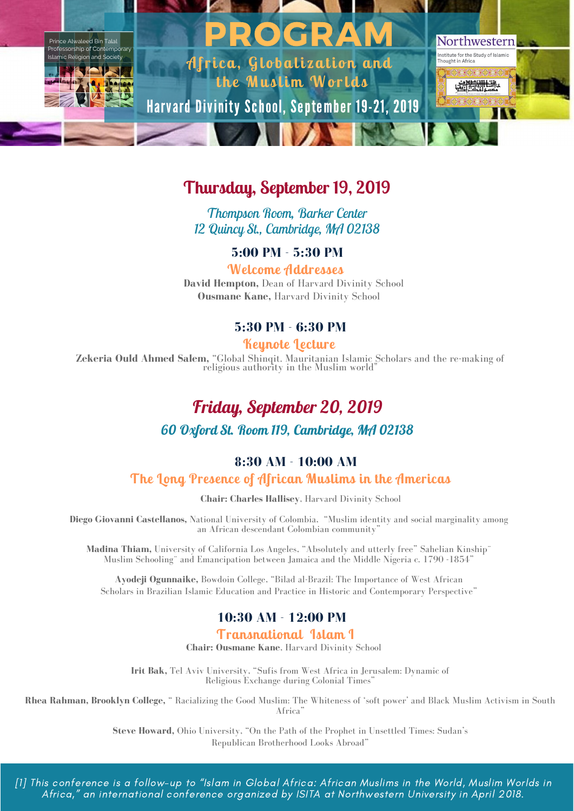

## **Thursday, September 19, 2019**

*Thompson Room, Barker Center 12 Quincy St., Cambridge, MA 02138*

**5:00 PM - 5:30 PM**

**Welcome Addresses David Hempton,** Dean of Harvard Divinity School **Ousmane Kane,** Harvard Divinity School

### **5:30 PM - 6:30 PM**

**Keynote Lecture**

**Zekeria Ould Ahmed Salem,** "Global Shinqit. Mauritanian Islamic Scholars and the re-making of religious authority in the Muslim world"

## *Friday, September 20, 2019*

#### *60 Oxford St. Room 119, Cambridge, MA 02138*

#### **8:30 AM - 10:00 AM**

**The Long Presence of African Muslims in the Americas**

**Chair: Charles Hallisey**, Harvard Divinity School

**Diego Giovanni Castellanos,** National University of Colombia, "Muslim identity and social marginality among an African descendant Colombian community"

**Madina Thiam,** University of California Los Angeles, "Absolutely and utterly free" Sahelian Kinship¨ Muslim Schooling¨ and Emancipation between Jamaica and the Middle Nigeria c. 1790 -1854"

**Ayodeji Ogunnaike,** Bowdoin College, "Bilad al-Brazil: The Importance of West African Scholars in Brazilian Islamic Education and Practice in Historic and Contemporary Perspective"

### **10:30 AM - 12:00 PM**

#### **Transnational Islam I**

**Chair: Ousmane Kane**, Harvard Divinity School

**Irit Bak,** Tel Aviv University, "Sufis from West Africa in Jerusalem: Dynamic of Religious Exchange during Colonial Times"

**Rhea Rahman, Brooklyn College,** " Racializing the Good Muslim: The Whiteness of 'soft power' and Black Muslim Activism in South Africa"

> **Steve Howard,** Ohio University, "On the Path of the Prophet in Unsettled Times: Sudan's Republican Brotherhood Looks Abroad"

[1] This conference is a follow-up to "Islam in Global Africa: African Muslims in the World, Muslim Worlds in Africa," an international conference organized by ISITA at Northwestern University in April 2018.